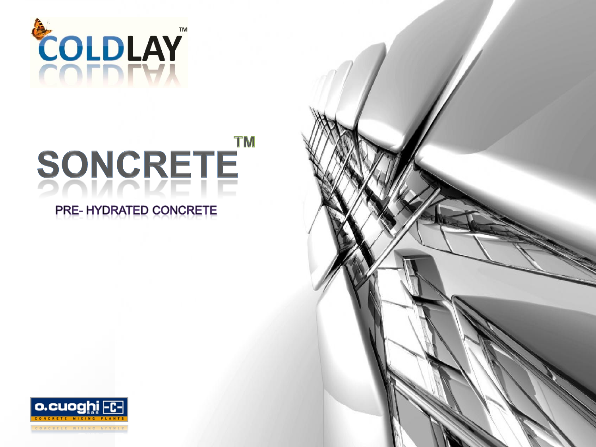

#### **TM** SONCRETE PRE-HYDRATED CONCRETE

#### o.cuoghi  $|-<sub>C</sub>$

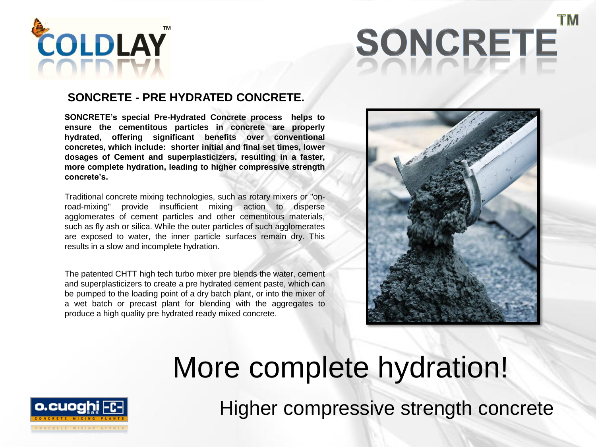

# SONCRETE

#### **SONCRETE - PRE HYDRATED CONCRETE.**

**SONCRETE's special Pre-Hydrated Concrete process helps to ensure the cementitous particles in concrete are properly hydrated, offering significant benefits over conventional concretes, which include: shorter initial and final set times, lower dosages of Cement and superplasticizers, resulting in a faster, more complete hydration, leading to higher compressive strength concrete's.**

Traditional concrete mixing technologies, such as rotary mixers or "onroad-mixing" provide insufficient mixing action to disperse agglomerates of cement particles and other cementitous materials, such as fly ash or silica. While the outer particles of such agglomerates are exposed to water, the inner particle surfaces remain dry. This results in a slow and incomplete hydration.

The patented CHTT high tech turbo mixer pre blends the water, cement and superplasticizers to create a pre hydrated cement paste, which can be pumped to the loading point of a dry batch plant, or into the mixer of a wet batch or precast plant for blending with the aggregates to produce a high quality pre hydrated ready mixed concrete.



## More complete hydration!

o.cuoghi

Higher compressive strength concrete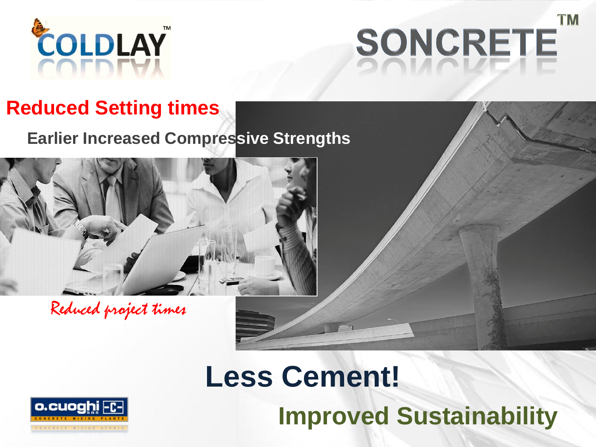

## **TM** SONCRETE

#### **Reduced Setting times**

**Earlier Increased Compressive Strengths** 



Reduced project times

## **Less Cement! Improved Sustainability**